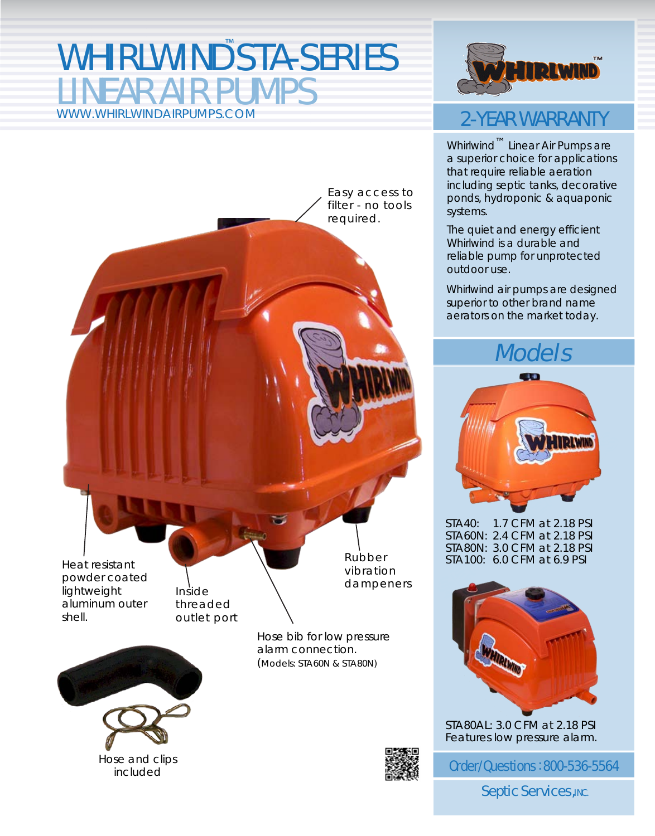### WHIRLWIND STA-SERIES **IFAR AIR PUMPS** WWW.WHIRLWINDAIRPUMPS.COM



### 2-YEAR WARRANTY

Whirlwind™ Linear Air Pumps are a superior choice for applications that require reliable aeration including septic tanks, decorative ponds, hydroponic & aquaponic systems.

The quiet and energy efficient Whirlwind is a durable and reliable pump for unprotected outdoor use.

Whirlwind air pumps are designed superior to other brand name aerators on the market today.

## Models Models



STA40: 1.7 CFM at 2.18 PSI STA60N: 2.4 CFM at 2.18 PSI STA80N: 3.0 CFM at 2.18 PSI STA100: 6.0 CFM at 6.9 PSI



STA80AL: 3.0 CFM at 2.18 PSI Features low pressure alarm.

Order/Questions: 800-536-5564

**Septic Services, INC.** 

Inside threaded Heat resistant powder coated lightweight aluminum outer

outlet port

Hose and clips included

shell.

Hose bib for low pressure alarm connection. (Models: STA60N & STA80N)

Rubber vibration dampeners

Easy access to filter - no tools

required.